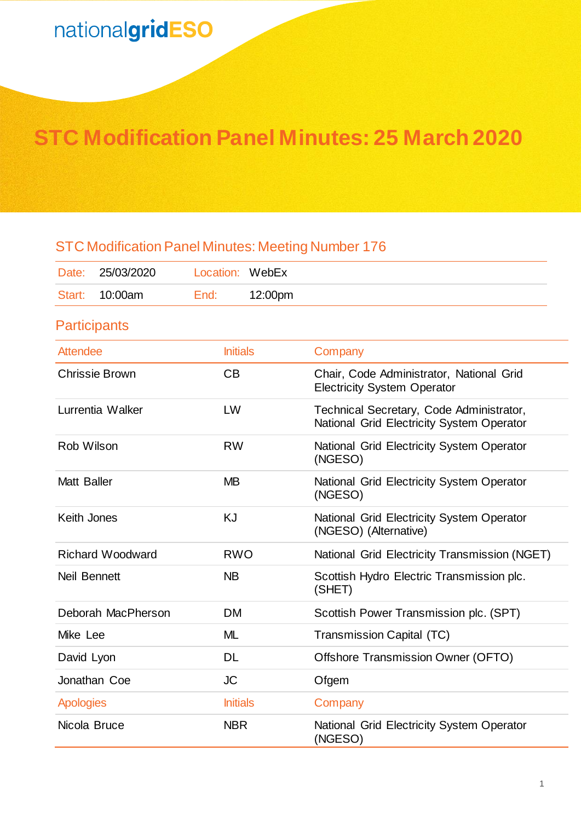## **STC Modification Panel Minutes: 25 March 2020**

## STC Modification Panel Minutes: Meeting Number 176 Date: 25/03/2020 Location: WebEx Start: 10:00am End: 12:00pm **Participants** Attendee **Initials** Company Chrissie Brown CB Chair, Code Administrator, National Grid Electricity System Operator Lurrentia Walker LW Technical Secretary, Code Administrator, National Grid Electricity System Operator Rob Wilson **RW** RW National Grid Electricity System Operator (NGESO) Matt Baller MB MB National Grid Electricity System Operator (NGESO) Keith Jones **KJ** KG National Grid Electricity System Operator (NGESO) (Alternative) Richard Woodward RWO National Grid Electricity Transmission (NGET) Neil Bennett NB NB Scottish Hydro Electric Transmission plc. (SHET) Deborah MacPherson DM Scottish Power Transmission plc. (SPT) Mike Lee **ML** Transmission Capital (TC) David Lyon DL DL Offshore Transmission Owner (OFTO) Jonathan Coe **JC** Ofgem Apologies **Initials** Company Nicola Bruce **NBR** NBR National Grid Electricity System Operator (NGESO)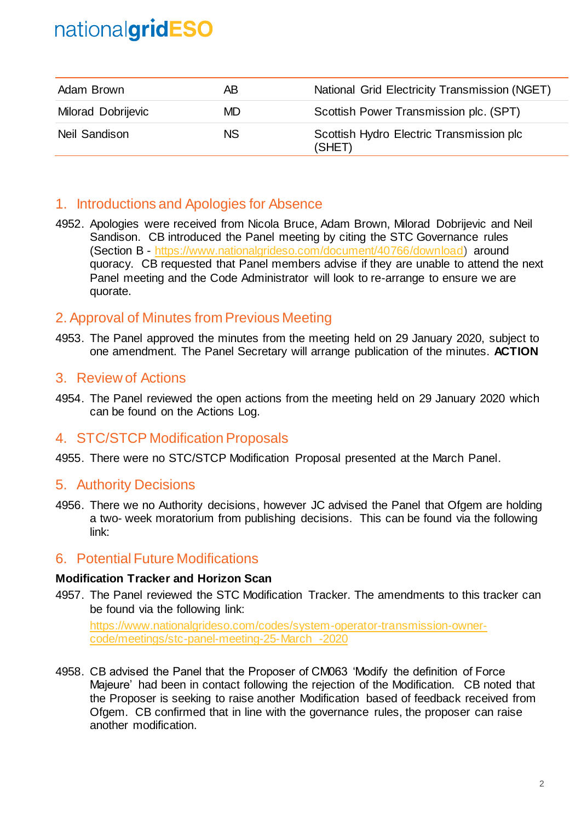| Adam Brown                | AВ        | National Grid Electricity Transmission (NGET)      |
|---------------------------|-----------|----------------------------------------------------|
| <b>Milorad Dobrijevic</b> | MD.       | Scottish Power Transmission plc. (SPT)             |
| Neil Sandison             | <b>NS</b> | Scottish Hydro Electric Transmission plc<br>(SHET) |

### 1. Introductions and Apologies for Absence

4952. Apologies were received from Nicola Bruce, Adam Brown, Milorad Dobrijevic and Neil Sandison. CB introduced the Panel meeting by citing the STC Governance rules (Section B - [https://www.nationalgrideso.com/document/40766/download\)](https://www.nationalgrideso.com/document/40766/download) around quoracy. CB requested that Panel members advise if they are unable to attend the next Panel meeting and the Code Administrator will look to re-arrange to ensure we are quorate.

## 2. Approval of Minutes from Previous Meeting

4953. The Panel approved the minutes from the meeting held on 29 January 2020, subject to one amendment. The Panel Secretary will arrange publication of the minutes. **ACTION**

### 3. Review of Actions

4954. The Panel reviewed the open actions from the meeting held on 29 January 2020 which can be found on the Actions Log.

### 4. STC/STCP Modification Proposals

4955. There were no STC/STCP Modification Proposal presented at the March Panel.

#### 5. Authority Decisions

4956. There we no Authority decisions, however JC advised the Panel that Ofgem are holding a two- week moratorium from publishing decisions. This can be found via the following link:

### 6. Potential Future Modifications

#### **Modification Tracker and Horizon Scan**

4957. The Panel reviewed the STC Modification Tracker. The amendments to this tracker can be found via the following link:

[https://www.nationalgrideso.com/codes/system-operator-transmission-owner](https://www.nationalgrideso.com/codes/system-operator-transmission-owner-code/meetings/stc-panel-meeting-25-March%20-2020)[code/meetings/stc-panel-meeting-25-March -2020](https://www.nationalgrideso.com/codes/system-operator-transmission-owner-code/meetings/stc-panel-meeting-25-March%20-2020)

4958. CB advised the Panel that the Proposer of CM063 'Modify the definition of Force Majeure' had been in contact following the rejection of the Modification. CB noted that the Proposer is seeking to raise another Modification based of feedback received from Ofgem. CB confirmed that in line with the governance rules, the proposer can raise another modification.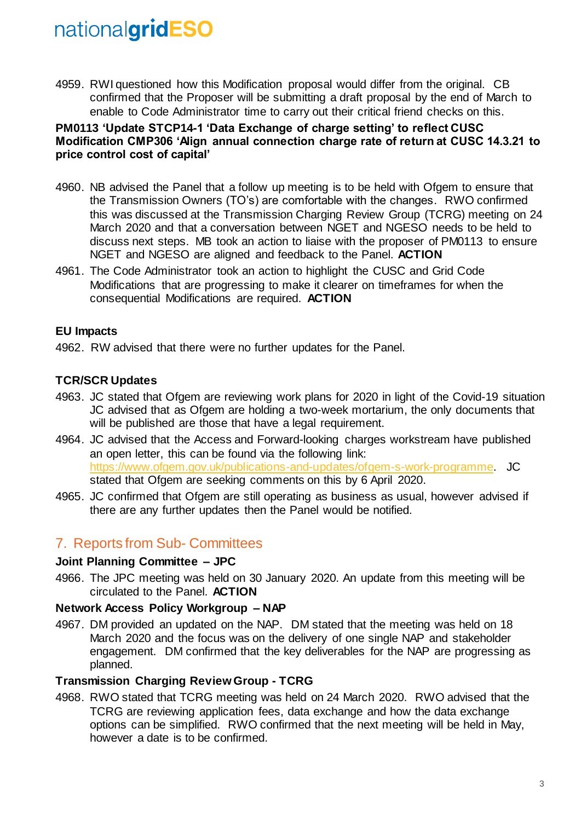4959. RWI questioned how this Modification proposal would differ from the original. CB confirmed that the Proposer will be submitting a draft proposal by the end of March to enable to Code Administrator time to carry out their critical friend checks on this.

#### **PM0113 'Update STCP14-1 'Data Exchange of charge setting' to reflect CUSC Modification CMP306 'Align annual connection charge rate of return at CUSC 14.3.21 to price control cost of capital'**

- 4960. NB advised the Panel that a follow up meeting is to be held with Ofgem to ensure that the Transmission Owners (TO's) are comfortable with the changes. RWO confirmed this was discussed at the Transmission Charging Review Group (TCRG) meeting on 24 March 2020 and that a conversation between NGET and NGESO needs to be held to discuss next steps. MB took an action to liaise with the proposer of PM0113 to ensure NGET and NGESO are aligned and feedback to the Panel. **ACTION**
- 4961. The Code Administrator took an action to highlight the CUSC and Grid Code Modifications that are progressing to make it clearer on timeframes for when the consequential Modifications are required. **ACTION**

#### **EU Impacts**

4962. RW advised that there were no further updates for the Panel.

#### **TCR/SCR Updates**

- 4963. JC stated that Ofgem are reviewing work plans for 2020 in light of the Covid-19 situation JC advised that as Ofgem are holding a two-week mortarium, the only documents that will be published are those that have a legal requirement.
- 4964. JC advised that the Access and Forward-looking charges workstream have published an open letter, this can be found via the following link: [https://www.ofgem.gov.uk/publications-and-updates/ofgem-s-work-programme.](https://www.ofgem.gov.uk/publications-and-updates/ofgem-s-work-programme) JC stated that Ofgem are seeking comments on this by 6 April 2020.
- 4965. JC confirmed that Ofgem are still operating as business as usual, however advised if there are any further updates then the Panel would be notified.

## 7. Reports from Sub- Committees

#### **Joint Planning Committee – JPC**

4966. The JPC meeting was held on 30 January 2020. An update from this meeting will be circulated to the Panel. **ACTION**

#### **Network Access Policy Workgroup – NAP**

4967. DM provided an updated on the NAP. DM stated that the meeting was held on 18 March 2020 and the focus was on the delivery of one single NAP and stakeholder engagement. DM confirmed that the key deliverables for the NAP are progressing as planned.

#### **Transmission Charging Review Group - TCRG**

4968. RWO stated that TCRG meeting was held on 24 March 2020. RWO advised that the TCRG are reviewing application fees, data exchange and how the data exchange options can be simplified. RWO confirmed that the next meeting will be held in May, however a date is to be confirmed.